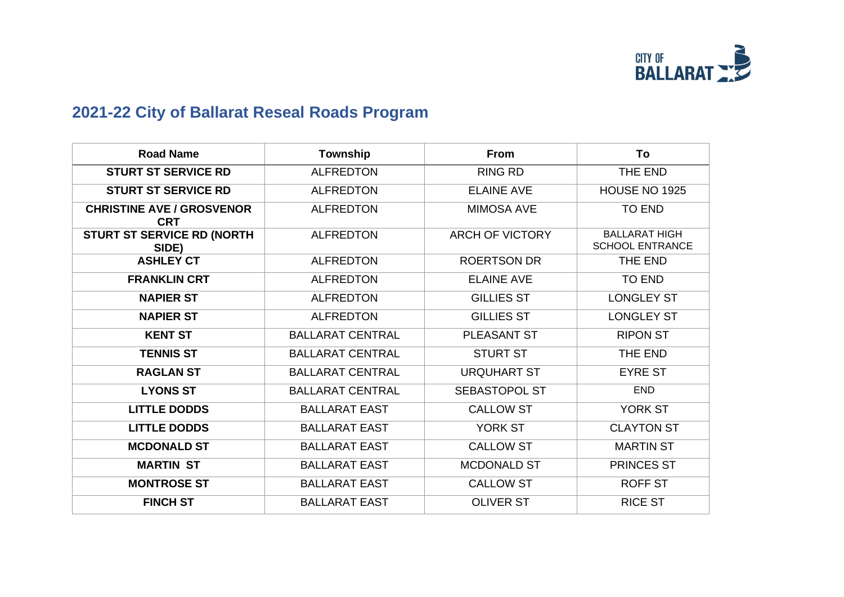

## **2021-22 City of Ballarat Reseal Roads Program**

| <b>Road Name</b>                               | Township                | <b>From</b>            | To                                             |
|------------------------------------------------|-------------------------|------------------------|------------------------------------------------|
| <b>STURT ST SERVICE RD</b>                     | <b>ALFREDTON</b>        | <b>RING RD</b>         | THE END                                        |
| <b>STURT ST SERVICE RD</b>                     | <b>ALFREDTON</b>        | <b>ELAINE AVE</b>      | HOUSE NO 1925                                  |
| <b>CHRISTINE AVE / GROSVENOR</b><br><b>CRT</b> | <b>ALFREDTON</b>        | <b>MIMOSA AVE</b>      | <b>TO END</b>                                  |
| <b>STURT ST SERVICE RD (NORTH</b><br>SIDE)     | <b>ALFREDTON</b>        | <b>ARCH OF VICTORY</b> | <b>BALLARAT HIGH</b><br><b>SCHOOL ENTRANCE</b> |
| <b>ASHLEY CT</b>                               | <b>ALFREDTON</b>        | <b>ROERTSON DR</b>     | THE END                                        |
| <b>FRANKLIN CRT</b>                            | <b>ALFREDTON</b>        | <b>ELAINE AVE</b>      | <b>TO END</b>                                  |
| <b>NAPIER ST</b>                               | <b>ALFREDTON</b>        | <b>GILLIES ST</b>      | <b>LONGLEY ST</b>                              |
| <b>NAPIER ST</b>                               | <b>ALFREDTON</b>        | <b>GILLIES ST</b>      | <b>LONGLEY ST</b>                              |
| <b>KENT ST</b>                                 | <b>BALLARAT CENTRAL</b> | <b>PLEASANT ST</b>     | <b>RIPON ST</b>                                |
| <b>TENNIS ST</b>                               | <b>BALLARAT CENTRAL</b> | <b>STURT ST</b>        | THE END                                        |
| <b>RAGLAN ST</b>                               | <b>BALLARAT CENTRAL</b> | <b>URQUHART ST</b>     | <b>EYRE ST</b>                                 |
| <b>LYONS ST</b>                                | <b>BALLARAT CENTRAL</b> | <b>SEBASTOPOL ST</b>   | <b>END</b>                                     |
| <b>LITTLE DODDS</b>                            | <b>BALLARAT EAST</b>    | <b>CALLOW ST</b>       | YORK ST                                        |
| <b>LITTLE DODDS</b>                            | <b>BALLARAT EAST</b>    | <b>YORK ST</b>         | <b>CLAYTON ST</b>                              |
| <b>MCDONALD ST</b>                             | <b>BALLARAT EAST</b>    | <b>CALLOW ST</b>       | <b>MARTIN ST</b>                               |
| <b>MARTIN ST</b>                               | <b>BALLARAT EAST</b>    | <b>MCDONALD ST</b>     | <b>PRINCES ST</b>                              |
| <b>MONTROSE ST</b>                             | <b>BALLARAT EAST</b>    | <b>CALLOW ST</b>       | <b>ROFF ST</b>                                 |
| <b>FINCH ST</b>                                | <b>BALLARAT EAST</b>    | <b>OLIVER ST</b>       | <b>RICE ST</b>                                 |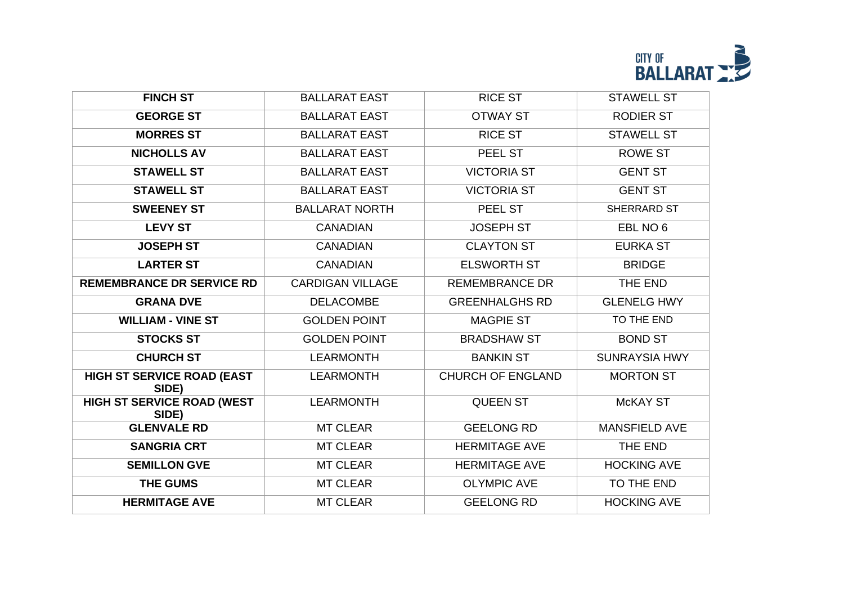

| <b>FINCH ST</b>                            | <b>BALLARAT EAST</b>    | <b>RICE ST</b>           | <b>STAWELL ST</b>    |
|--------------------------------------------|-------------------------|--------------------------|----------------------|
| <b>GEORGE ST</b>                           | <b>BALLARAT EAST</b>    | <b>OTWAY ST</b>          | <b>RODIER ST</b>     |
| <b>MORRES ST</b>                           | <b>BALLARAT EAST</b>    | <b>RICE ST</b>           | <b>STAWELL ST</b>    |
| <b>NICHOLLS AV</b>                         | <b>BALLARAT EAST</b>    | PEEL ST                  | <b>ROWE ST</b>       |
| <b>STAWELL ST</b>                          | <b>BALLARAT EAST</b>    | <b>VICTORIA ST</b>       | <b>GENT ST</b>       |
| <b>STAWELL ST</b>                          | <b>BALLARAT EAST</b>    | <b>VICTORIA ST</b>       | <b>GENT ST</b>       |
| <b>SWEENEY ST</b>                          | <b>BALLARAT NORTH</b>   | PEEL ST                  | SHERRARD ST          |
| <b>LEVY ST</b>                             | <b>CANADIAN</b>         | <b>JOSEPH ST</b>         | EBL NO 6             |
| <b>JOSEPH ST</b>                           | <b>CANADIAN</b>         | <b>CLAYTON ST</b>        | <b>EURKA ST</b>      |
| <b>LARTER ST</b>                           | <b>CANADIAN</b>         | <b>ELSWORTH ST</b>       | <b>BRIDGE</b>        |
| <b>REMEMBRANCE DR SERVICE RD</b>           | <b>CARDIGAN VILLAGE</b> | <b>REMEMBRANCE DR</b>    | THE END              |
| <b>GRANA DVE</b>                           | <b>DELACOMBE</b>        | <b>GREENHALGHS RD</b>    | <b>GLENELG HWY</b>   |
| <b>WILLIAM - VINE ST</b>                   | <b>GOLDEN POINT</b>     | <b>MAGPIE ST</b>         | TO THE END           |
| <b>STOCKS ST</b>                           | <b>GOLDEN POINT</b>     | <b>BRADSHAW ST</b>       | <b>BOND ST</b>       |
| <b>CHURCH ST</b>                           | <b>LEARMONTH</b>        | <b>BANKIN ST</b>         | <b>SUNRAYSIA HWY</b> |
| <b>HIGH ST SERVICE ROAD (EAST</b><br>SIDE) | <b>LEARMONTH</b>        | <b>CHURCH OF ENGLAND</b> | <b>MORTON ST</b>     |
| <b>HIGH ST SERVICE ROAD (WEST</b><br>SIDE) | <b>LEARMONTH</b>        | <b>QUEEN ST</b>          | <b>McKAY ST</b>      |
| <b>GLENVALE RD</b>                         | <b>MT CLEAR</b>         | <b>GEELONG RD</b>        | <b>MANSFIELD AVE</b> |
| <b>SANGRIA CRT</b>                         | <b>MT CLEAR</b>         | <b>HERMITAGE AVE</b>     | THE END              |
| <b>SEMILLON GVE</b>                        | <b>MT CLEAR</b>         | <b>HERMITAGE AVE</b>     | <b>HOCKING AVE</b>   |
| <b>THE GUMS</b>                            | <b>MT CLEAR</b>         | <b>OLYMPIC AVE</b>       | TO THE END           |
| <b>HERMITAGE AVE</b>                       | <b>MT CLEAR</b>         | <b>GEELONG RD</b>        | <b>HOCKING AVE</b>   |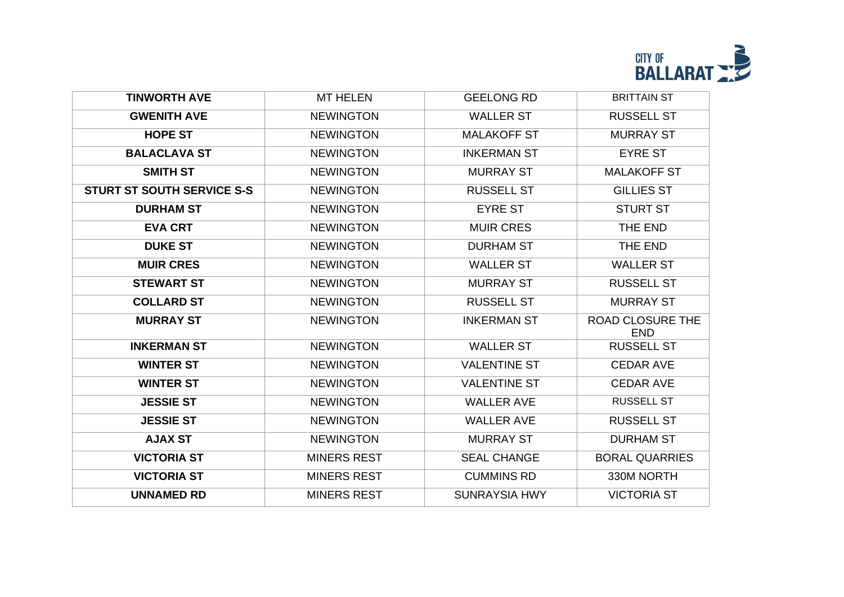

| <b>TINWORTH AVE</b>               | <b>MT HELEN</b>    | <b>GEELONG RD</b>    | <b>BRITTAIN ST</b>             |
|-----------------------------------|--------------------|----------------------|--------------------------------|
| <b>GWENITH AVE</b>                | <b>NEWINGTON</b>   | <b>WALLER ST</b>     | <b>RUSSELL ST</b>              |
| <b>HOPE ST</b>                    | <b>NEWINGTON</b>   | <b>MALAKOFF ST</b>   | <b>MURRAY ST</b>               |
| <b>BALACLAVA ST</b>               | <b>NEWINGTON</b>   | <b>INKERMAN ST</b>   | <b>EYRE ST</b>                 |
| <b>SMITH ST</b>                   | <b>NEWINGTON</b>   | <b>MURRAY ST</b>     | <b>MALAKOFF ST</b>             |
| <b>STURT ST SOUTH SERVICE S-S</b> | <b>NEWINGTON</b>   | <b>RUSSELL ST</b>    | <b>GILLIES ST</b>              |
| <b>DURHAM ST</b>                  | <b>NEWINGTON</b>   | <b>EYRE ST</b>       | <b>STURT ST</b>                |
| <b>EVA CRT</b>                    | <b>NEWINGTON</b>   | <b>MUIR CRES</b>     | THE END                        |
| <b>DUKE ST</b>                    | <b>NEWINGTON</b>   | <b>DURHAM ST</b>     | THE END                        |
| <b>MUIR CRES</b>                  | <b>NEWINGTON</b>   | <b>WALLER ST</b>     | <b>WALLER ST</b>               |
| <b>STEWART ST</b>                 | <b>NEWINGTON</b>   | <b>MURRAY ST</b>     | <b>RUSSELL ST</b>              |
| <b>COLLARD ST</b>                 | <b>NEWINGTON</b>   | <b>RUSSELL ST</b>    | <b>MURRAY ST</b>               |
| <b>MURRAY ST</b>                  | <b>NEWINGTON</b>   | <b>INKERMAN ST</b>   | ROAD CLOSURE THE<br><b>END</b> |
| <b>INKERMAN ST</b>                | <b>NEWINGTON</b>   | <b>WALLER ST</b>     | <b>RUSSELL ST</b>              |
| <b>WINTER ST</b>                  | <b>NEWINGTON</b>   | <b>VALENTINE ST</b>  | <b>CEDAR AVE</b>               |
| <b>WINTER ST</b>                  | <b>NEWINGTON</b>   | <b>VALENTINE ST</b>  | <b>CEDAR AVE</b>               |
| <b>JESSIE ST</b>                  | <b>NEWINGTON</b>   | <b>WALLER AVE</b>    | <b>RUSSELL ST</b>              |
| <b>JESSIE ST</b>                  | <b>NEWINGTON</b>   | <b>WALLER AVE</b>    | <b>RUSSELL ST</b>              |
| <b>AJAX ST</b>                    | <b>NEWINGTON</b>   | <b>MURRAY ST</b>     | <b>DURHAM ST</b>               |
| <b>VICTORIA ST</b>                | <b>MINERS REST</b> | <b>SEAL CHANGE</b>   | <b>BORAL QUARRIES</b>          |
| <b>VICTORIA ST</b>                | <b>MINERS REST</b> | <b>CUMMINS RD</b>    | 330M NORTH                     |
| <b>UNNAMED RD</b>                 | <b>MINERS REST</b> | <b>SUNRAYSIA HWY</b> | <b>VICTORIA ST</b>             |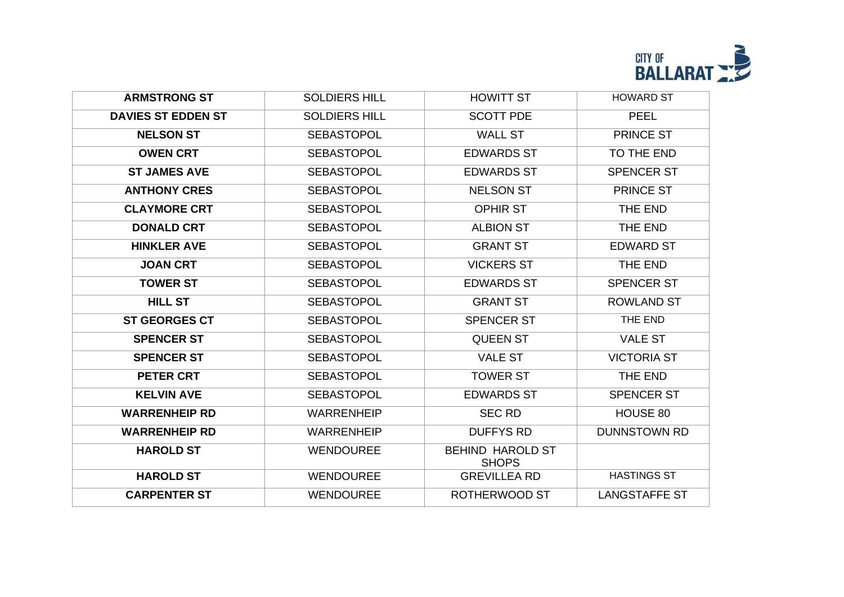

| <b>ARMSTRONG ST</b>       | <b>SOLDIERS HILL</b> | <b>HOWITT ST</b>                        | <b>HOWARD ST</b>     |
|---------------------------|----------------------|-----------------------------------------|----------------------|
| <b>DAVIES ST EDDEN ST</b> | <b>SOLDIERS HILL</b> | <b>SCOTT PDE</b>                        | <b>PEEL</b>          |
| <b>NELSON ST</b>          | <b>SEBASTOPOL</b>    | <b>WALL ST</b>                          | PRINCE ST            |
| <b>OWEN CRT</b>           | <b>SEBASTOPOL</b>    | <b>EDWARDS ST</b>                       | TO THE END           |
| <b>ST JAMES AVE</b>       | <b>SEBASTOPOL</b>    | <b>EDWARDS ST</b>                       | <b>SPENCER ST</b>    |
| <b>ANTHONY CRES</b>       | <b>SEBASTOPOL</b>    | <b>NELSON ST</b>                        | PRINCE ST            |
| <b>CLAYMORE CRT</b>       | <b>SEBASTOPOL</b>    | <b>OPHIR ST</b>                         | THE END              |
| <b>DONALD CRT</b>         | <b>SEBASTOPOL</b>    | <b>ALBION ST</b>                        | THE END              |
| <b>HINKLER AVE</b>        | <b>SEBASTOPOL</b>    | <b>GRANT ST</b>                         | <b>EDWARD ST</b>     |
| <b>JOAN CRT</b>           | <b>SEBASTOPOL</b>    | <b>VICKERS ST</b>                       | THE END              |
| <b>TOWER ST</b>           | <b>SEBASTOPOL</b>    | <b>EDWARDS ST</b>                       | <b>SPENCER ST</b>    |
| <b>HILL ST</b>            | <b>SEBASTOPOL</b>    | <b>GRANT ST</b>                         | <b>ROWLAND ST</b>    |
| <b>ST GEORGES CT</b>      | <b>SEBASTOPOL</b>    | <b>SPENCER ST</b>                       | THE END              |
| <b>SPENCER ST</b>         | <b>SEBASTOPOL</b>    | <b>QUEEN ST</b>                         | <b>VALE ST</b>       |
| <b>SPENCER ST</b>         | <b>SEBASTOPOL</b>    | <b>VALE ST</b>                          | <b>VICTORIA ST</b>   |
| <b>PETER CRT</b>          | <b>SEBASTOPOL</b>    | <b>TOWER ST</b>                         | THE END              |
| <b>KELVIN AVE</b>         | <b>SEBASTOPOL</b>    | <b>EDWARDS ST</b>                       | <b>SPENCER ST</b>    |
| <b>WARRENHEIP RD</b>      | <b>WARRENHEIP</b>    | <b>SEC RD</b>                           | HOUSE 80             |
| <b>WARRENHEIP RD</b>      | <b>WARRENHEIP</b>    | <b>DUFFYS RD</b>                        | <b>DUNNSTOWN RD</b>  |
| <b>HAROLD ST</b>          | <b>WENDOUREE</b>     | <b>BEHIND HAROLD ST</b><br><b>SHOPS</b> |                      |
| <b>HAROLD ST</b>          | <b>WENDOUREE</b>     | <b>GREVILLEA RD</b>                     | <b>HASTINGS ST</b>   |
| <b>CARPENTER ST</b>       | <b>WENDOUREE</b>     | ROTHERWOOD ST                           | <b>LANGSTAFFE ST</b> |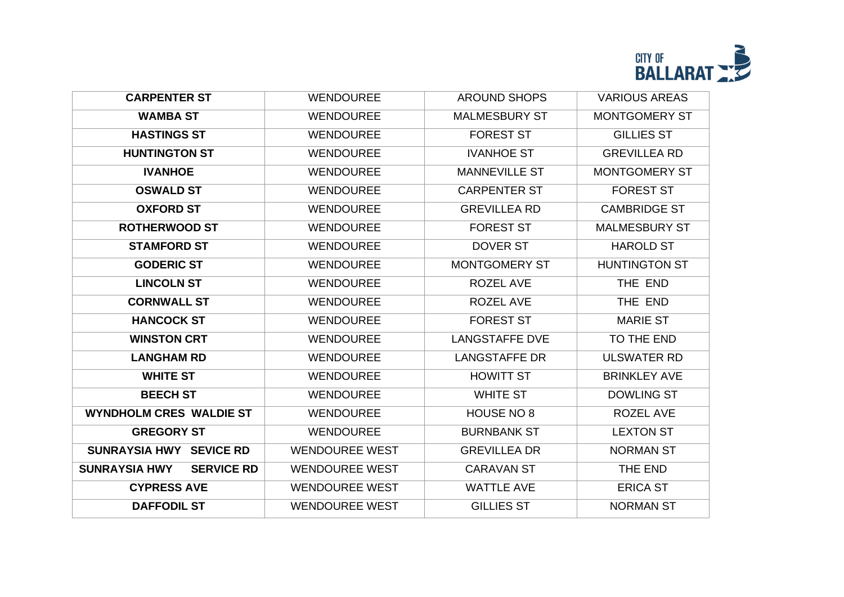

| <b>CARPENTER ST</b>                       | <b>WENDOUREE</b>      | <b>AROUND SHOPS</b>   | <b>VARIOUS AREAS</b> |
|-------------------------------------------|-----------------------|-----------------------|----------------------|
| <b>WAMBA ST</b>                           | <b>WENDOUREE</b>      | <b>MALMESBURY ST</b>  | MONTGOMERY ST        |
| <b>HASTINGS ST</b>                        | <b>WENDOUREE</b>      | <b>FOREST ST</b>      | <b>GILLIES ST</b>    |
| <b>HUNTINGTON ST</b>                      | <b>WENDOUREE</b>      | <b>IVANHOE ST</b>     | <b>GREVILLEA RD</b>  |
| <b>IVANHOE</b>                            | <b>WENDOUREE</b>      | <b>MANNEVILLE ST</b>  | <b>MONTGOMERY ST</b> |
| <b>OSWALD ST</b>                          | <b>WENDOUREE</b>      | <b>CARPENTER ST</b>   | <b>FOREST ST</b>     |
| <b>OXFORD ST</b>                          | <b>WENDOUREE</b>      | <b>GREVILLEA RD</b>   | <b>CAMBRIDGE ST</b>  |
| <b>ROTHERWOOD ST</b>                      | <b>WENDOUREE</b>      | <b>FOREST ST</b>      | <b>MALMESBURY ST</b> |
| <b>STAMFORD ST</b>                        | <b>WENDOUREE</b>      | <b>DOVER ST</b>       | <b>HAROLD ST</b>     |
| <b>GODERIC ST</b>                         | <b>WENDOUREE</b>      | <b>MONTGOMERY ST</b>  | <b>HUNTINGTON ST</b> |
| <b>LINCOLN ST</b>                         | <b>WENDOUREE</b>      | <b>ROZEL AVE</b>      | THE END              |
| <b>CORNWALL ST</b>                        | <b>WENDOUREE</b>      | ROZEL AVE             | THE END              |
| <b>HANCOCK ST</b>                         | <b>WENDOUREE</b>      | <b>FOREST ST</b>      | <b>MARIE ST</b>      |
| <b>WINSTON CRT</b>                        | <b>WENDOUREE</b>      | <b>LANGSTAFFE DVE</b> | TO THE END           |
| <b>LANGHAM RD</b>                         | <b>WENDOUREE</b>      | <b>LANGSTAFFE DR</b>  | <b>ULSWATER RD</b>   |
| <b>WHITE ST</b>                           | <b>WENDOUREE</b>      | <b>HOWITT ST</b>      | <b>BRINKLEY AVE</b>  |
| <b>BEECH ST</b>                           | <b>WENDOUREE</b>      | <b>WHITE ST</b>       | <b>DOWLING ST</b>    |
| <b>WYNDHOLM CRES WALDIE ST</b>            | <b>WENDOUREE</b>      | HOUSE NO 8            | <b>ROZEL AVE</b>     |
| <b>GREGORY ST</b>                         | <b>WENDOUREE</b>      | <b>BURNBANK ST</b>    | <b>LEXTON ST</b>     |
| SUNRAYSIA HWY SEVICE RD                   | <b>WENDOUREE WEST</b> | <b>GREVILLEA DR</b>   | <b>NORMAN ST</b>     |
| <b>SUNRAYSIA HWY</b><br><b>SERVICE RD</b> | <b>WENDOUREE WEST</b> | <b>CARAVAN ST</b>     | THE END              |
| <b>CYPRESS AVE</b>                        | <b>WENDOUREE WEST</b> | <b>WATTLE AVE</b>     | <b>ERICA ST</b>      |
| <b>DAFFODIL ST</b>                        | <b>WENDOUREE WEST</b> | <b>GILLIES ST</b>     | <b>NORMAN ST</b>     |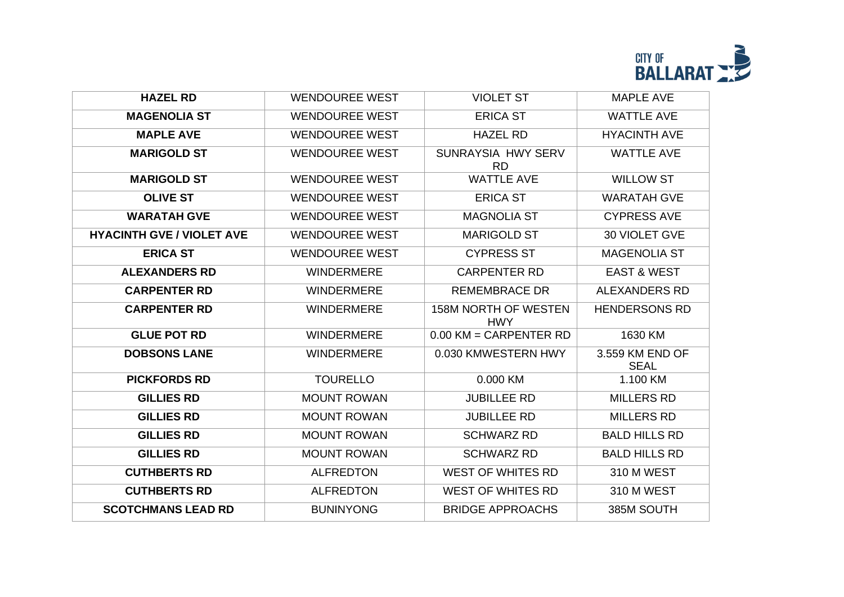

| <b>HAZEL RD</b>                  | <b>WENDOUREE WEST</b> | <b>VIOLET ST</b>                          | <b>MAPLE AVE</b>               |
|----------------------------------|-----------------------|-------------------------------------------|--------------------------------|
| <b>MAGENOLIA ST</b>              | <b>WENDOUREE WEST</b> | <b>ERICA ST</b>                           | <b>WATTLE AVE</b>              |
| <b>MAPLE AVE</b>                 | <b>WENDOUREE WEST</b> | <b>HAZEL RD</b>                           | <b>HYACINTH AVE</b>            |
| <b>MARIGOLD ST</b>               | <b>WENDOUREE WEST</b> | SUNRAYSIA HWY SERV<br><b>RD</b>           | <b>WATTLE AVE</b>              |
| <b>MARIGOLD ST</b>               | <b>WENDOUREE WEST</b> | <b>WATTLE AVE</b>                         | <b>WILLOW ST</b>               |
| <b>OLIVE ST</b>                  | <b>WENDOUREE WEST</b> | <b>ERICA ST</b>                           | <b>WARATAH GVE</b>             |
| <b>WARATAH GVE</b>               | <b>WENDOUREE WEST</b> | <b>MAGNOLIA ST</b>                        | <b>CYPRESS AVE</b>             |
| <b>HYACINTH GVE / VIOLET AVE</b> | <b>WENDOUREE WEST</b> | <b>MARIGOLD ST</b>                        | 30 VIOLET GVE                  |
| <b>ERICA ST</b>                  | <b>WENDOUREE WEST</b> | <b>CYPRESS ST</b>                         | <b>MAGENOLIA ST</b>            |
| <b>ALEXANDERS RD</b>             | <b>WINDERMERE</b>     | <b>CARPENTER RD</b>                       | <b>EAST &amp; WEST</b>         |
| <b>CARPENTER RD</b>              | <b>WINDERMERE</b>     | <b>REMEMBRACE DR</b>                      | <b>ALEXANDERS RD</b>           |
| <b>CARPENTER RD</b>              | <b>WINDERMERE</b>     | <b>158M NORTH OF WESTEN</b><br><b>HWY</b> | <b>HENDERSONS RD</b>           |
| <b>GLUE POT RD</b>               | <b>WINDERMERE</b>     | $0.00$ KM = CARPENTER RD                  | 1630 KM                        |
| <b>DOBSONS LANE</b>              | <b>WINDERMERE</b>     | 0.030 KMWESTERN HWY                       | 3.559 KM END OF<br><b>SEAL</b> |
| <b>PICKFORDS RD</b>              | <b>TOURELLO</b>       | 0.000 KM                                  | 1.100 KM                       |
| <b>GILLIES RD</b>                | <b>MOUNT ROWAN</b>    | <b>JUBILLEE RD</b>                        | <b>MILLERS RD</b>              |
| <b>GILLIES RD</b>                | <b>MOUNT ROWAN</b>    | <b>JUBILLEE RD</b>                        | <b>MILLERS RD</b>              |
| <b>GILLIES RD</b>                | <b>MOUNT ROWAN</b>    | <b>SCHWARZ RD</b>                         | <b>BALD HILLS RD</b>           |
| <b>GILLIES RD</b>                | <b>MOUNT ROWAN</b>    | <b>SCHWARZ RD</b>                         | <b>BALD HILLS RD</b>           |
| <b>CUTHBERTS RD</b>              | <b>ALFREDTON</b>      | <b>WEST OF WHITES RD</b>                  | 310 M WEST                     |
| <b>CUTHBERTS RD</b>              | <b>ALFREDTON</b>      | <b>WEST OF WHITES RD</b>                  | 310 M WEST                     |
| <b>SCOTCHMANS LEAD RD</b>        |                       |                                           |                                |